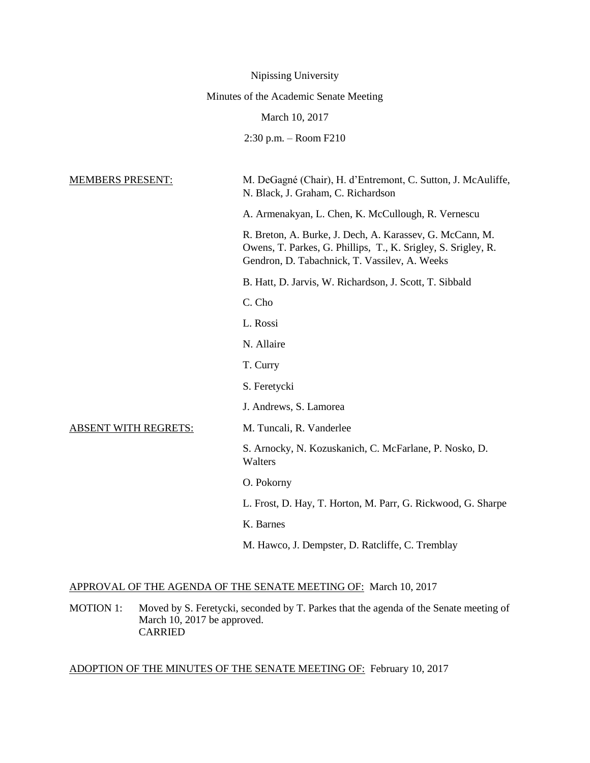| Nipissing University                   |                                                                                                                                                                            |  |  |
|----------------------------------------|----------------------------------------------------------------------------------------------------------------------------------------------------------------------------|--|--|
| Minutes of the Academic Senate Meeting |                                                                                                                                                                            |  |  |
| March 10, 2017                         |                                                                                                                                                                            |  |  |
|                                        | $2:30$ p.m. $-$ Room F210                                                                                                                                                  |  |  |
|                                        |                                                                                                                                                                            |  |  |
| <b>MEMBERS PRESENT:</b>                | M. DeGagné (Chair), H. d'Entremont, C. Sutton, J. McAuliffe,<br>N. Black, J. Graham, C. Richardson                                                                         |  |  |
|                                        | A. Armenakyan, L. Chen, K. McCullough, R. Vernescu                                                                                                                         |  |  |
|                                        | R. Breton, A. Burke, J. Dech, A. Karassev, G. McCann, M.<br>Owens, T. Parkes, G. Phillips, T., K. Srigley, S. Srigley, R.<br>Gendron, D. Tabachnick, T. Vassilev, A. Weeks |  |  |
|                                        | B. Hatt, D. Jarvis, W. Richardson, J. Scott, T. Sibbald                                                                                                                    |  |  |
|                                        | C. Cho                                                                                                                                                                     |  |  |
|                                        | L. Rossi                                                                                                                                                                   |  |  |
|                                        | N. Allaire                                                                                                                                                                 |  |  |
|                                        | T. Curry                                                                                                                                                                   |  |  |
|                                        | S. Feretycki                                                                                                                                                               |  |  |
|                                        | J. Andrews, S. Lamorea                                                                                                                                                     |  |  |
| <b>ABSENT WITH REGRETS:</b>            | M. Tuncali, R. Vanderlee                                                                                                                                                   |  |  |
|                                        | S. Arnocky, N. Kozuskanich, C. McFarlane, P. Nosko, D.<br>Walters                                                                                                          |  |  |
|                                        | O. Pokorny                                                                                                                                                                 |  |  |
|                                        | L. Frost, D. Hay, T. Horton, M. Parr, G. Rickwood, G. Sharpe                                                                                                               |  |  |
|                                        | K. Barnes                                                                                                                                                                  |  |  |
|                                        | M. Hawco, J. Dempster, D. Ratcliffe, C. Tremblay                                                                                                                           |  |  |

# APPROVAL OF THE AGENDA OF THE SENATE MEETING OF: March 10, 2017

MOTION 1: Moved by S. Feretycki, seconded by T. Parkes that the agenda of the Senate meeting of March 10, 2017 be approved. CARRIED

# ADOPTION OF THE MINUTES OF THE SENATE MEETING OF: February 10, 2017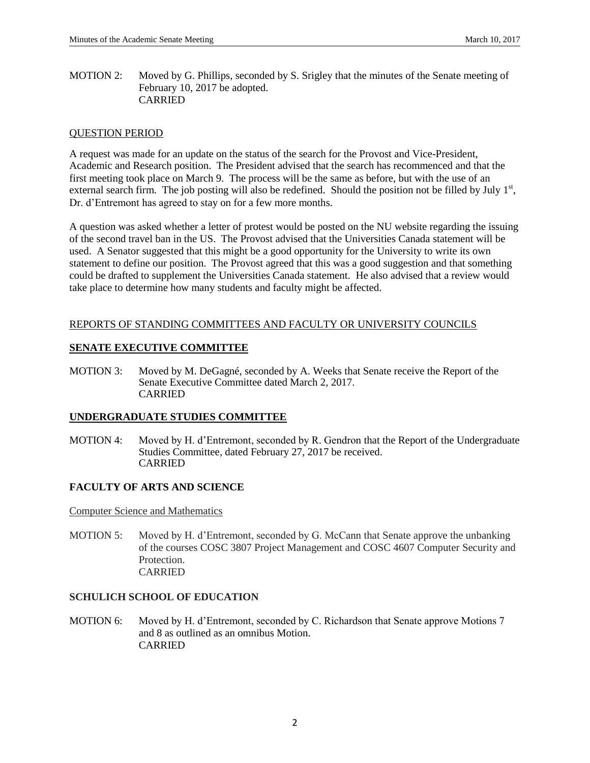MOTION 2: Moved by G. Phillips, seconded by S. Srigley that the minutes of the Senate meeting of February 10, 2017 be adopted. CARRIED

#### QUESTION PERIOD

A request was made for an update on the status of the search for the Provost and Vice-President, Academic and Research position. The President advised that the search has recommenced and that the first meeting took place on March 9. The process will be the same as before, but with the use of an external search firm. The job posting will also be redefined. Should the position not be filled by July  $1<sup>st</sup>$ , Dr. d'Entremont has agreed to stay on for a few more months.

A question was asked whether a letter of protest would be posted on the NU website regarding the issuing of the second travel ban in the US. The Provost advised that the Universities Canada statement will be used. A Senator suggested that this might be a good opportunity for the University to write its own statement to define our position. The Provost agreed that this was a good suggestion and that something could be drafted to supplement the Universities Canada statement. He also advised that a review would take place to determine how many students and faculty might be affected.

## REPORTS OF STANDING COMMITTEES AND FACULTY OR UNIVERSITY COUNCILS

## **SENATE EXECUTIVE COMMITTEE**

MOTION 3: Moved by M. DeGagné, seconded by A. Weeks that Senate receive the Report of the Senate Executive Committee dated March 2, 2017. CARRIED

#### **UNDERGRADUATE STUDIES COMMITTEE**

MOTION 4: Moved by H. d'Entremont, seconded by R. Gendron that the Report of the Undergraduate Studies Committee, dated February 27, 2017 be received. CARRIED

# **FACULTY OF ARTS AND SCIENCE**

Computer Science and Mathematics

MOTION 5: Moved by H. d'Entremont, seconded by G. McCann that Senate approve the unbanking of the courses COSC 3807 Project Management and COSC 4607 Computer Security and Protection. CARRIED

#### **SCHULICH SCHOOL OF EDUCATION**

MOTION 6: Moved by H. d'Entremont, seconded by C. Richardson that Senate approve Motions 7 and 8 as outlined as an omnibus Motion. CARRIED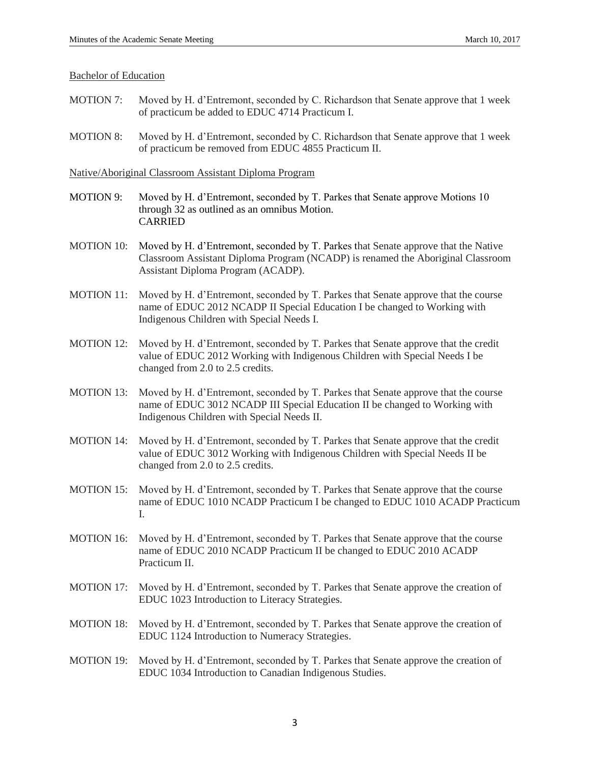#### Bachelor of Education

- MOTION 7: Moved by H. d'Entremont, seconded by C. Richardson that Senate approve that 1 week of practicum be added to EDUC 4714 Practicum I.
- MOTION 8: Moved by H. d'Entremont, seconded by C. Richardson that Senate approve that 1 week of practicum be removed from EDUC 4855 Practicum II.

Native/Aboriginal Classroom Assistant Diploma Program

- MOTION 9: Moved by H. d'Entremont, seconded by T. Parkes that Senate approve Motions 10 through 32 as outlined as an omnibus Motion. CARRIED
- MOTION 10: Moved by H. d'Entremont, seconded by T. Parkes that Senate approve that the Native Classroom Assistant Diploma Program (NCADP) is renamed the Aboriginal Classroom Assistant Diploma Program (ACADP).
- MOTION 11: Moved by H. d'Entremont, seconded by T. Parkes that Senate approve that the course name of EDUC 2012 NCADP II Special Education I be changed to Working with Indigenous Children with Special Needs I.
- MOTION 12: Moved by H. d'Entremont, seconded by T. Parkes that Senate approve that the credit value of EDUC 2012 Working with Indigenous Children with Special Needs I be changed from 2.0 to 2.5 credits.
- MOTION 13: Moved by H. d'Entremont, seconded by T. Parkes that Senate approve that the course name of EDUC 3012 NCADP III Special Education II be changed to Working with Indigenous Children with Special Needs II.
- MOTION 14: Moved by H. d'Entremont, seconded by T. Parkes that Senate approve that the credit value of EDUC 3012 Working with Indigenous Children with Special Needs II be changed from 2.0 to 2.5 credits.
- MOTION 15: Moved by H. d'Entremont, seconded by T. Parkes that Senate approve that the course name of EDUC 1010 NCADP Practicum I be changed to EDUC 1010 ACADP Practicum I.
- MOTION 16: Moved by H. d'Entremont, seconded by T. Parkes that Senate approve that the course name of EDUC 2010 NCADP Practicum II be changed to EDUC 2010 ACADP Practicum II.
- MOTION 17: Moved by H. d'Entremont, seconded by T. Parkes that Senate approve the creation of EDUC 1023 Introduction to Literacy Strategies.
- MOTION 18: Moved by H. d'Entremont, seconded by T. Parkes that Senate approve the creation of EDUC 1124 Introduction to Numeracy Strategies.
- MOTION 19: Moved by H. d'Entremont, seconded by T. Parkes that Senate approve the creation of EDUC 1034 Introduction to Canadian Indigenous Studies.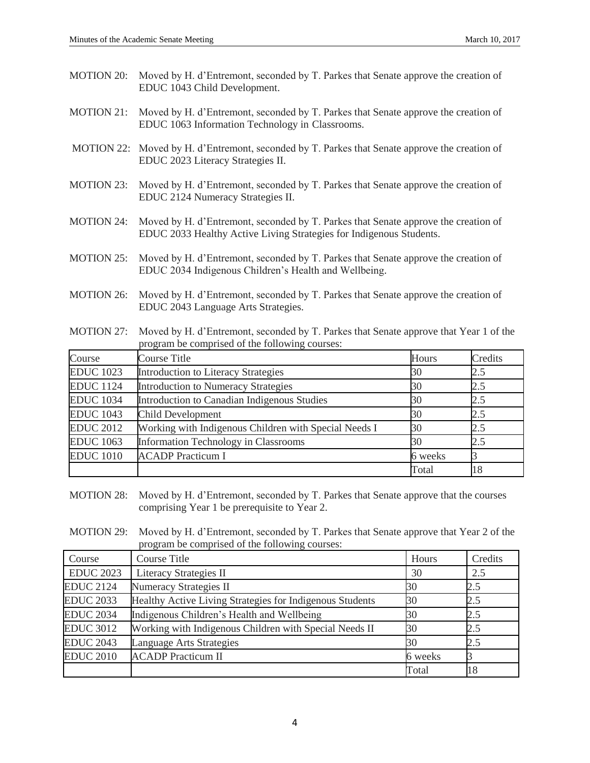- MOTION 20: Moved by H. d'Entremont, seconded by T. Parkes that Senate approve the creation of EDUC 1043 Child Development.
- MOTION 21: Moved by H. d'Entremont, seconded by T. Parkes that Senate approve the creation of EDUC 1063 Information Technology in Classrooms.
- MOTION 22: Moved by H. d'Entremont, seconded by T. Parkes that Senate approve the creation of EDUC 2023 Literacy Strategies II.
- MOTION 23: Moved by H. d'Entremont, seconded by T. Parkes that Senate approve the creation of EDUC 2124 Numeracy Strategies II.
- MOTION 24: Moved by H. d'Entremont, seconded by T. Parkes that Senate approve the creation of EDUC 2033 Healthy Active Living Strategies for Indigenous Students.
- MOTION 25: Moved by H. d'Entremont, seconded by T. Parkes that Senate approve the creation of EDUC 2034 Indigenous Children's Health and Wellbeing.
- MOTION 26: Moved by H. d'Entremont, seconded by T. Parkes that Senate approve the creation of EDUC 2043 Language Arts Strategies.
- MOTION 27: Moved by H. d'Entremont, seconded by T. Parkes that Senate approve that Year 1 of the program be comprised of the following courses:

| Course           | <b>Course Title</b>                                   | Hours   | Credits |
|------------------|-------------------------------------------------------|---------|---------|
| <b>EDUC</b> 1023 | Introduction to Literacy Strategies                   | 30      | 2.5     |
| <b>EDUC</b> 1124 | <b>Introduction to Numeracy Strategies</b>            | 30      | 2.5     |
| <b>EDUC</b> 1034 | Introduction to Canadian Indigenous Studies           | 30      | 2.5     |
| <b>EDUC</b> 1043 | Child Development                                     | 30      | 2.5     |
| <b>EDUC 2012</b> | Working with Indigenous Children with Special Needs I | 30      | 2.5     |
| <b>EDUC</b> 1063 | <b>Information Technology in Classrooms</b>           | 30      | 2.5     |
| <b>EDUC</b> 1010 | <b>ACADP</b> Practicum I                              | 6 weeks |         |
|                  |                                                       | Total   | 18      |

- MOTION 28: Moved by H. d'Entremont, seconded by T. Parkes that Senate approve that the courses comprising Year 1 be prerequisite to Year 2.
- MOTION 29: Moved by H. d'Entremont, seconded by T. Parkes that Senate approve that Year 2 of the program be comprised of the following courses:

| Course           | Course Title                                             | Hours   | Credits |
|------------------|----------------------------------------------------------|---------|---------|
| <b>EDUC 2023</b> | Literacy Strategies II                                   | 30      | 2.5     |
| <b>EDUC 2124</b> | <b>Numeracy Strategies II</b>                            | 30      | 2.5     |
| <b>EDUC 2033</b> | Healthy Active Living Strategies for Indigenous Students | 30      | 2.5     |
| <b>EDUC 2034</b> | Indigenous Children's Health and Wellbeing               | 30      | 2.5     |
| <b>EDUC 3012</b> | Working with Indigenous Children with Special Needs II   | 30      | 2.5     |
| <b>EDUC 2043</b> | Language Arts Strategies                                 | 30      | 2.5     |
| <b>EDUC 2010</b> | <b>ACADP</b> Practicum II                                | 6 weeks |         |
|                  |                                                          | Total   | 18      |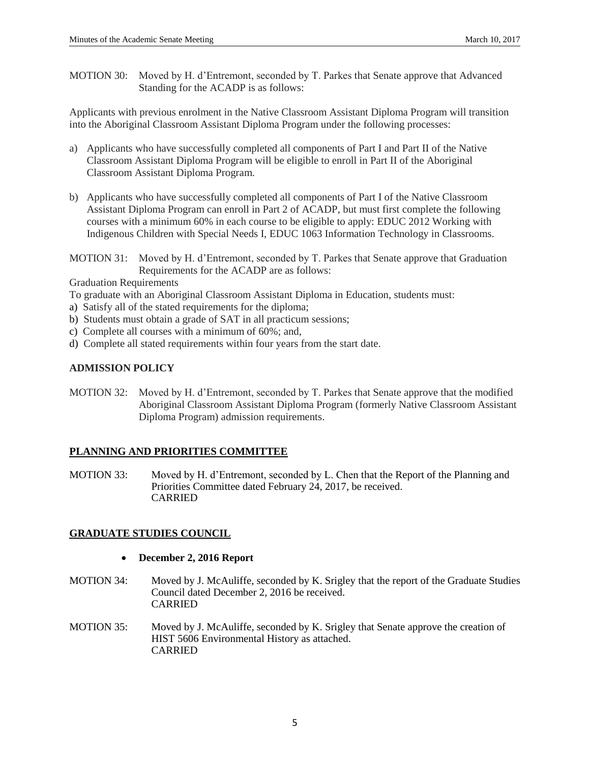MOTION 30: Moved by H. d'Entremont, seconded by T. Parkes that Senate approve that Advanced Standing for the ACADP is as follows:

Applicants with previous enrolment in the Native Classroom Assistant Diploma Program will transition into the Aboriginal Classroom Assistant Diploma Program under the following processes:

- a) Applicants who have successfully completed all components of Part I and Part II of the Native Classroom Assistant Diploma Program will be eligible to enroll in Part II of the Aboriginal Classroom Assistant Diploma Program.
- b) Applicants who have successfully completed all components of Part I of the Native Classroom Assistant Diploma Program can enroll in Part 2 of ACADP, but must first complete the following courses with a minimum 60% in each course to be eligible to apply: EDUC 2012 Working with Indigenous Children with Special Needs I, EDUC 1063 Information Technology in Classrooms.

MOTION 31: Moved by H. d'Entremont, seconded by T. Parkes that Senate approve that Graduation Requirements for the ACADP are as follows:

Graduation Requirements

To graduate with an Aboriginal Classroom Assistant Diploma in Education, students must:

- a) Satisfy all of the stated requirements for the diploma;
- b) Students must obtain a grade of SAT in all practicum sessions;
- c) Complete all courses with a minimum of 60%; and,
- d) Complete all stated requirements within four years from the start date.

# **ADMISSION POLICY**

MOTION 32: Moved by H. d'Entremont, seconded by T. Parkes that Senate approve that the modified Aboriginal Classroom Assistant Diploma Program (formerly Native Classroom Assistant Diploma Program) admission requirements.

# **PLANNING AND PRIORITIES COMMITTEE**

MOTION 33: Moved by H. d'Entremont, seconded by L. Chen that the Report of the Planning and Priorities Committee dated February 24, 2017, be received. CARRIED

# **GRADUATE STUDIES COUNCIL**

- **December 2, 2016 Report**
- MOTION 34: Moved by J. McAuliffe, seconded by K. Srigley that the report of the Graduate Studies Council dated December 2, 2016 be received. CARRIED
- MOTION 35: Moved by J. McAuliffe, seconded by K. Srigley that Senate approve the creation of HIST 5606 Environmental History as attached. CARRIED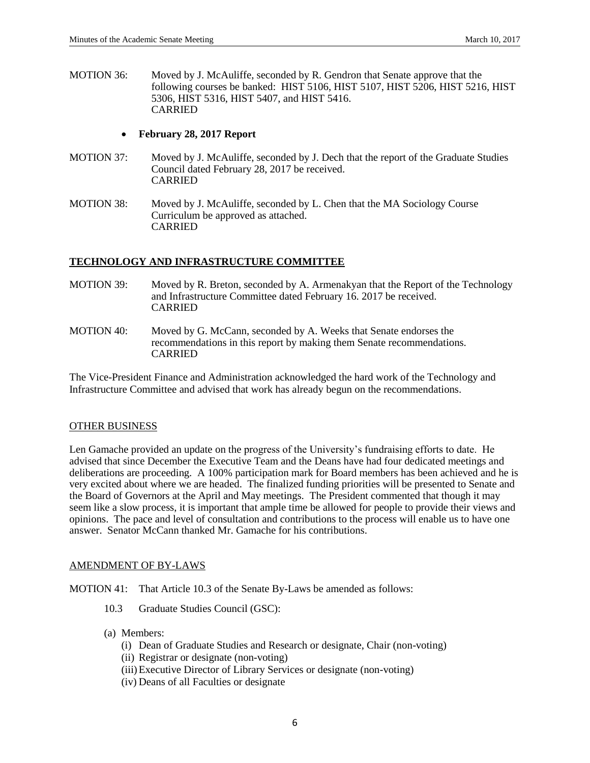MOTION 36: Moved by J. McAuliffe, seconded by R. Gendron that Senate approve that the following courses be banked: HIST 5106, HIST 5107, HIST 5206, HIST 5216, HIST 5306, HIST 5316, HIST 5407, and HIST 5416. CARRIED

## **February 28, 2017 Report**

- MOTION 37: Moved by J. McAuliffe, seconded by J. Dech that the report of the Graduate Studies Council dated February 28, 2017 be received. CARRIED
- MOTION 38: Moved by J. McAuliffe, seconded by L. Chen that the MA Sociology Course Curriculum be approved as attached. CARRIED

# **TECHNOLOGY AND INFRASTRUCTURE COMMITTEE**

- MOTION 39: Moved by R. Breton, seconded by A. Armenakyan that the Report of the Technology and Infrastructure Committee dated February 16. 2017 be received. CARRIED
- MOTION 40: Moved by G. McCann, seconded by A. Weeks that Senate endorses the recommendations in this report by making them Senate recommendations. CARRIED

The Vice-President Finance and Administration acknowledged the hard work of the Technology and Infrastructure Committee and advised that work has already begun on the recommendations.

#### OTHER BUSINESS

Len Gamache provided an update on the progress of the University's fundraising efforts to date. He advised that since December the Executive Team and the Deans have had four dedicated meetings and deliberations are proceeding. A 100% participation mark for Board members has been achieved and he is very excited about where we are headed. The finalized funding priorities will be presented to Senate and the Board of Governors at the April and May meetings. The President commented that though it may seem like a slow process, it is important that ample time be allowed for people to provide their views and opinions. The pace and level of consultation and contributions to the process will enable us to have one answer. Senator McCann thanked Mr. Gamache for his contributions.

# AMENDMENT OF BY-LAWS

MOTION 41: That Article 10.3 of the Senate By-Laws be amended as follows:

- 10.3 Graduate Studies Council (GSC):
- (a) Members:
	- (i) Dean of Graduate Studies and Research or designate, Chair (non-voting)
	- (ii) Registrar or designate (non-voting)
	- (iii)Executive Director of Library Services or designate (non-voting)
	- (iv) Deans of all Faculties or designate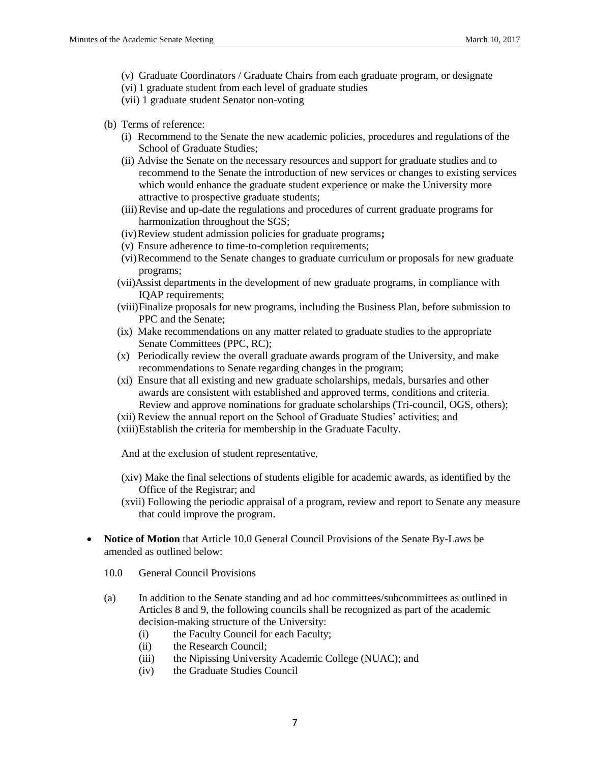- (v) Graduate Coordinators / Graduate Chairs from each graduate program, or designate
- (vi) 1 graduate student from each level of graduate studies
- (vii) 1 graduate student Senator non-voting
- (b) Terms of reference:
	- (i) Recommend to the Senate the new academic policies, procedures and regulations of the School of Graduate Studies;
	- (ii) Advise the Senate on the necessary resources and support for graduate studies and to recommend to the Senate the introduction of new services or changes to existing services which would enhance the graduate student experience or make the University more attractive to prospective graduate students;
	- (iii)Revise and up-date the regulations and procedures of current graduate programs for harmonization throughout the SGS;
	- (iv)Review student admission policies for graduate programs**;**
	- (v) Ensure adherence to time-to-completion requirements;
	- (vi)Recommend to the Senate changes to graduate curriculum or proposals for new graduate programs;
	- (vii)Assist departments in the development of new graduate programs, in compliance with IQAP requirements;
	- (viii)Finalize proposals for new programs, including the Business Plan, before submission to PPC and the Senate;
	- (ix) Make recommendations on any matter related to graduate studies to the appropriate Senate Committees (PPC, RC);
	- (x) Periodically review the overall graduate awards program of the University, and make recommendations to Senate regarding changes in the program;
	- (xi) Ensure that all existing and new graduate scholarships, medals, bursaries and other awards are consistent with established and approved terms, conditions and criteria. Review and approve nominations for graduate scholarships (Tri-council, OGS, others);
	- (xii) Review the annual report on the School of Graduate Studies' activities; and
	- (xiii)Establish the criteria for membership in the Graduate Faculty.

And at the exclusion of student representative,

- (xiv) Make the final selections of students eligible for academic awards, as identified by the Office of the Registrar; and
- (xvii) Following the periodic appraisal of a program, review and report to Senate any measure that could improve the program.
- **Notice of Motion** that Article 10.0 General Council Provisions of the Senate By-Laws be amended as outlined below:
	- 10.0 General Council Provisions
	- (a) In addition to the Senate standing and ad hoc committees/subcommittees as outlined in Articles 8 and 9, the following councils shall be recognized as part of the academic decision-making structure of the University:
		- (i) the Faculty Council for each Faculty;
		- (ii) the Research Council;
		- (iii) the Nipissing University Academic College (NUAC); and
		- (iv) the Graduate Studies Council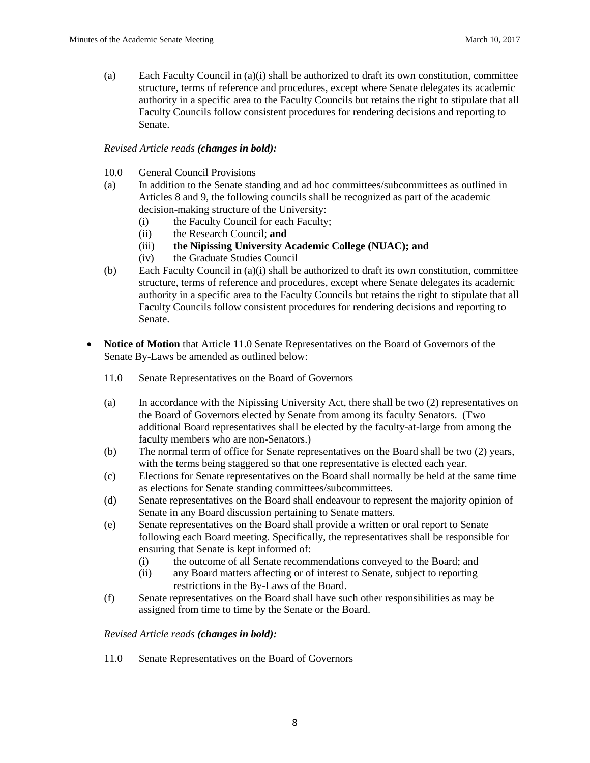(a) Each Faculty Council in (a)(i) shall be authorized to draft its own constitution, committee structure, terms of reference and procedures, except where Senate delegates its academic authority in a specific area to the Faculty Councils but retains the right to stipulate that all Faculty Councils follow consistent procedures for rendering decisions and reporting to Senate.

## *Revised Article reads (changes in bold):*

- 10.0 General Council Provisions
- (a) In addition to the Senate standing and ad hoc committees/subcommittees as outlined in Articles 8 and 9, the following councils shall be recognized as part of the academic decision-making structure of the University:
	- (i) the Faculty Council for each Faculty;
	- (ii) the Research Council; **and**
	- (iii) **the Nipissing University Academic College (NUAC); and**
	- (iv) the Graduate Studies Council
- (b) Each Faculty Council in (a)(i) shall be authorized to draft its own constitution, committee structure, terms of reference and procedures, except where Senate delegates its academic authority in a specific area to the Faculty Councils but retains the right to stipulate that all Faculty Councils follow consistent procedures for rendering decisions and reporting to Senate.
- **Notice of Motion** that Article 11.0 Senate Representatives on the Board of Governors of the Senate By-Laws be amended as outlined below:
	- 11.0 Senate Representatives on the Board of Governors
	- (a) In accordance with the Nipissing University Act, there shall be two (2) representatives on the Board of Governors elected by Senate from among its faculty Senators. (Two additional Board representatives shall be elected by the faculty-at-large from among the faculty members who are non-Senators.)
	- (b) The normal term of office for Senate representatives on the Board shall be two (2) years, with the terms being staggered so that one representative is elected each year.
	- (c) Elections for Senate representatives on the Board shall normally be held at the same time as elections for Senate standing committees/subcommittees.
	- (d) Senate representatives on the Board shall endeavour to represent the majority opinion of Senate in any Board discussion pertaining to Senate matters.
	- (e) Senate representatives on the Board shall provide a written or oral report to Senate following each Board meeting. Specifically, the representatives shall be responsible for ensuring that Senate is kept informed of:
		- (i) the outcome of all Senate recommendations conveyed to the Board; and
		- (ii) any Board matters affecting or of interest to Senate, subject to reporting restrictions in the By-Laws of the Board.
	- (f) Senate representatives on the Board shall have such other responsibilities as may be assigned from time to time by the Senate or the Board.

#### *Revised Article reads (changes in bold):*

11.0 Senate Representatives on the Board of Governors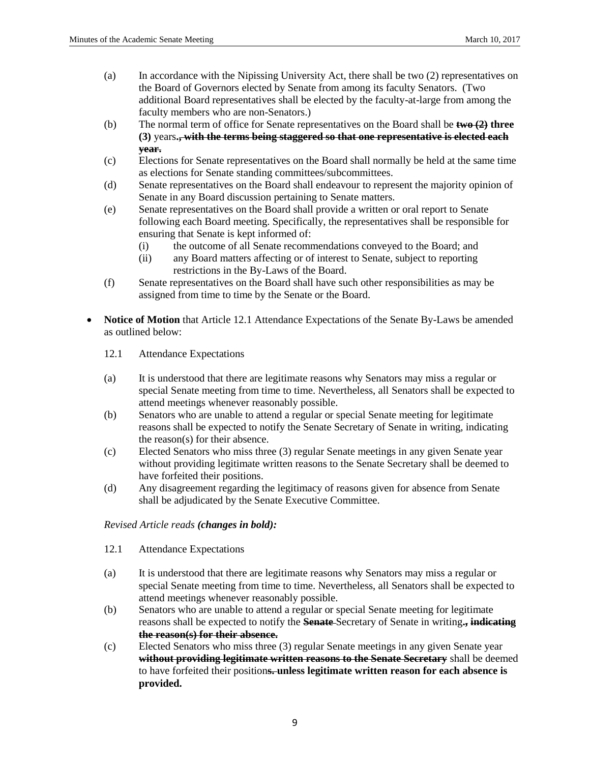- (a) In accordance with the Nipissing University Act, there shall be two (2) representatives on the Board of Governors elected by Senate from among its faculty Senators. (Two additional Board representatives shall be elected by the faculty-at-large from among the faculty members who are non-Senators.)
- (b) The normal term of office for Senate representatives on the Board shall be **two (2) three (3)** years**., with the terms being staggered so that one representative is elected each year.**
- (c) Elections for Senate representatives on the Board shall normally be held at the same time as elections for Senate standing committees/subcommittees.
- (d) Senate representatives on the Board shall endeavour to represent the majority opinion of Senate in any Board discussion pertaining to Senate matters.
- (e) Senate representatives on the Board shall provide a written or oral report to Senate following each Board meeting. Specifically, the representatives shall be responsible for ensuring that Senate is kept informed of:
	- (i) the outcome of all Senate recommendations conveyed to the Board; and
	- (ii) any Board matters affecting or of interest to Senate, subject to reporting restrictions in the By-Laws of the Board.
- (f) Senate representatives on the Board shall have such other responsibilities as may be assigned from time to time by the Senate or the Board.
- **Notice of Motion** that Article 12.1 Attendance Expectations of the Senate By-Laws be amended as outlined below:
	- 12.1 Attendance Expectations
	- (a) It is understood that there are legitimate reasons why Senators may miss a regular or special Senate meeting from time to time. Nevertheless, all Senators shall be expected to attend meetings whenever reasonably possible.
	- (b) Senators who are unable to attend a regular or special Senate meeting for legitimate reasons shall be expected to notify the Senate Secretary of Senate in writing, indicating the reason(s) for their absence.
	- (c) Elected Senators who miss three (3) regular Senate meetings in any given Senate year without providing legitimate written reasons to the Senate Secretary shall be deemed to have forfeited their positions.
	- (d) Any disagreement regarding the legitimacy of reasons given for absence from Senate shall be adjudicated by the Senate Executive Committee.

*Revised Article reads (changes in bold):*

- 12.1 Attendance Expectations
- (a) It is understood that there are legitimate reasons why Senators may miss a regular or special Senate meeting from time to time. Nevertheless, all Senators shall be expected to attend meetings whenever reasonably possible.
- (b) Senators who are unable to attend a regular or special Senate meeting for legitimate reasons shall be expected to notify the **Senate** Secretary of Senate in writing**., indicating the reason(s) for their absence.**
- (c) Elected Senators who miss three (3) regular Senate meetings in any given Senate year **without providing legitimate written reasons to the Senate Secretary** shall be deemed to have forfeited their position**s. unless legitimate written reason for each absence is provided.**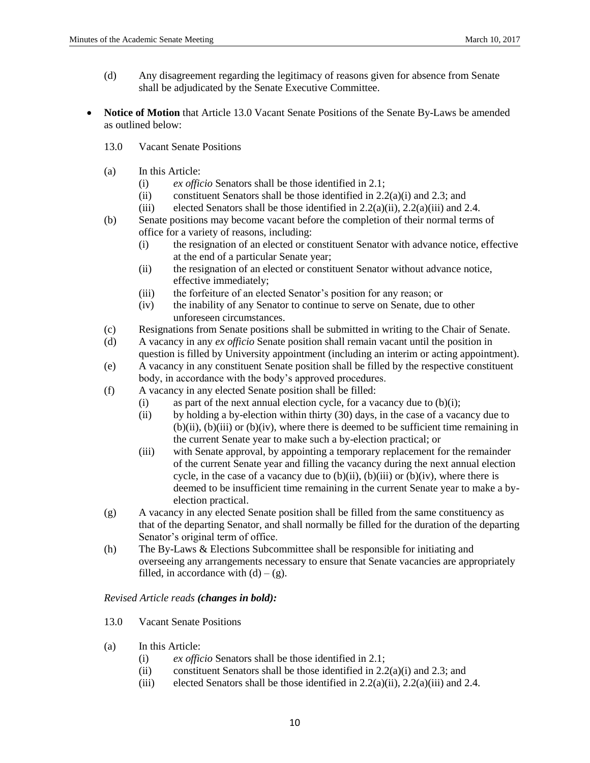- (d) Any disagreement regarding the legitimacy of reasons given for absence from Senate shall be adjudicated by the Senate Executive Committee.
- **Notice of Motion** that Article 13.0 Vacant Senate Positions of the Senate By-Laws be amended as outlined below:
	- 13.0 Vacant Senate Positions
	- (a) In this Article:
		- (i) *ex officio* Senators shall be those identified in 2.1;
		- (ii) constituent Senators shall be those identified in  $2.2(a)(i)$  and  $2.3$ ; and
		- (iii) elected Senators shall be those identified in  $2.2(a)(ii)$ ,  $2.2(a)(iii)$  and  $2.4$ .
	- (b) Senate positions may become vacant before the completion of their normal terms of office for a variety of reasons, including:
		- (i) the resignation of an elected or constituent Senator with advance notice, effective at the end of a particular Senate year;
		- (ii) the resignation of an elected or constituent Senator without advance notice, effective immediately;
		- (iii) the forfeiture of an elected Senator's position for any reason; or
		- (iv) the inability of any Senator to continue to serve on Senate, due to other unforeseen circumstances.
	- (c) Resignations from Senate positions shall be submitted in writing to the Chair of Senate.
	- (d) A vacancy in any *ex officio* Senate position shall remain vacant until the position in question is filled by University appointment (including an interim or acting appointment).
	- (e) A vacancy in any constituent Senate position shall be filled by the respective constituent body, in accordance with the body's approved procedures.
	- (f) A vacancy in any elected Senate position shall be filled:
		- (i) as part of the next annual election cycle, for a vacancy due to  $(b)(i)$ ;
		- (ii) by holding a by-election within thirty (30) days, in the case of a vacancy due to  $(b)(ii)$ ,  $(b)(iii)$  or  $(b)(iv)$ , where there is deemed to be sufficient time remaining in the current Senate year to make such a by-election practical; or
		- (iii) with Senate approval, by appointing a temporary replacement for the remainder of the current Senate year and filling the vacancy during the next annual election cycle, in the case of a vacancy due to  $(b)(ii)$ ,  $(b)(iii)$  or  $(b)(iv)$ , where there is deemed to be insufficient time remaining in the current Senate year to make a byelection practical.
	- (g) A vacancy in any elected Senate position shall be filled from the same constituency as that of the departing Senator, and shall normally be filled for the duration of the departing Senator's original term of office.
	- (h) The By-Laws & Elections Subcommittee shall be responsible for initiating and overseeing any arrangements necessary to ensure that Senate vacancies are appropriately filled, in accordance with  $(d) - (g)$ .

*Revised Article reads (changes in bold):*

- 13.0 Vacant Senate Positions
- (a) In this Article:
	- (i) *ex officio* Senators shall be those identified in 2.1;
	- (ii) constituent Senators shall be those identified in  $2.2(a)(i)$  and  $2.3$ ; and
	- (iii) elected Senators shall be those identified in  $2.2(a)(ii)$ ,  $2.2(a)(iii)$  and  $2.4$ .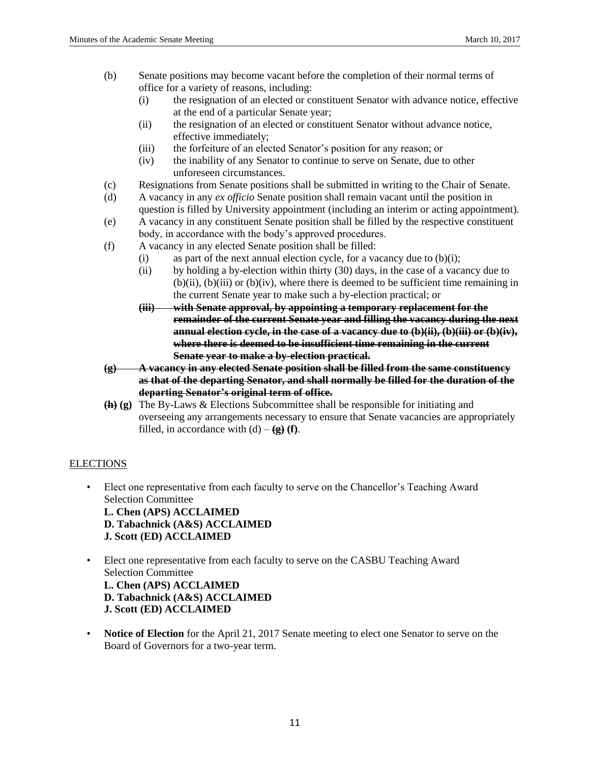- (b) Senate positions may become vacant before the completion of their normal terms of office for a variety of reasons, including:
	- (i) the resignation of an elected or constituent Senator with advance notice, effective at the end of a particular Senate year;
	- (ii) the resignation of an elected or constituent Senator without advance notice, effective immediately;
	- (iii) the forfeiture of an elected Senator's position for any reason; or
	- (iv) the inability of any Senator to continue to serve on Senate, due to other unforeseen circumstances.
- (c) Resignations from Senate positions shall be submitted in writing to the Chair of Senate.
- (d) A vacancy in any *ex officio* Senate position shall remain vacant until the position in question is filled by University appointment (including an interim or acting appointment).
- (e) A vacancy in any constituent Senate position shall be filled by the respective constituent body, in accordance with the body's approved procedures.
- (f) A vacancy in any elected Senate position shall be filled:
	- (i) as part of the next annual election cycle, for a vacancy due to  $(b)(i)$ ;
	- (ii) by holding a by-election within thirty (30) days, in the case of a vacancy due to  $(b)(ii)$ ,  $(b)(iii)$  or  $(b)(iv)$ , where there is deemed to be sufficient time remaining in the current Senate year to make such a by-election practical; or
	- **(iii) with Senate approval, by appointing a temporary replacement for the remainder of the current Senate year and filling the vacancy during the next annual election cycle, in the case of a vacancy due to (b)(ii), (b)(iii) or (b)(iv), where there is deemed to be insufficient time remaining in the current Senate year to make a by-election practical.**
- **(g) A vacancy in any elected Senate position shall be filled from the same constituency as that of the departing Senator, and shall normally be filled for the duration of the departing Senator's original term of office.**
- **(h) (g)** The By-Laws & Elections Subcommittee shall be responsible for initiating and overseeing any arrangements necessary to ensure that Senate vacancies are appropriately filled, in accordance with  $(d) - (g)$  **(f)**.

# **ELECTIONS**

- Elect one representative from each faculty to serve on the Chancellor's Teaching Award Selection Committee **L. Chen (APS) ACCLAIMED D. Tabachnick (A&S) ACCLAIMED J. Scott (ED) ACCLAIMED**
- Elect one representative from each faculty to serve on the CASBU Teaching Award Selection Committee **L. Chen (APS) ACCLAIMED D. Tabachnick (A&S) ACCLAIMED J. Scott (ED) ACCLAIMED**
- **Notice of Election** for the April 21, 2017 Senate meeting to elect one Senator to serve on the Board of Governors for a two-year term.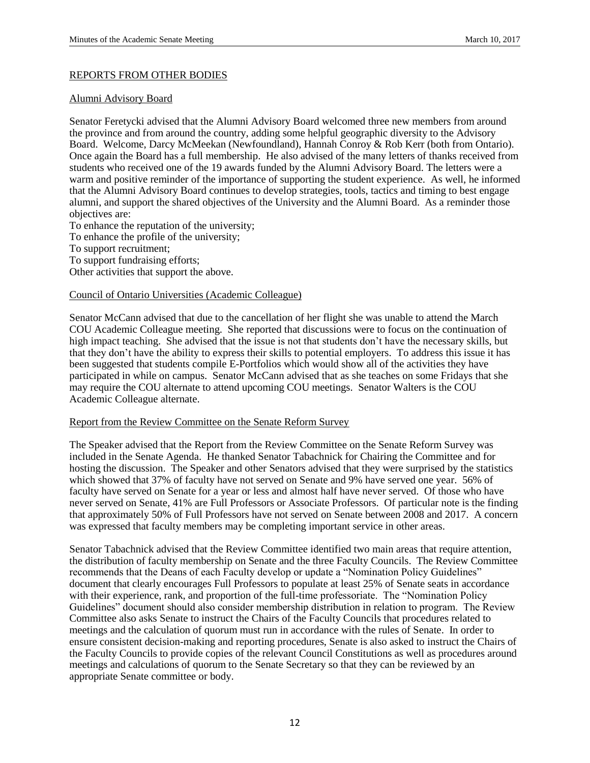#### REPORTS FROM OTHER BODIES

#### Alumni Advisory Board

Senator Feretycki advised that the Alumni Advisory Board welcomed three new members from around the province and from around the country, adding some helpful geographic diversity to the Advisory Board. Welcome, Darcy McMeekan (Newfoundland), Hannah Conroy & Rob Kerr (both from Ontario). Once again the Board has a full membership. He also advised of the many letters of thanks received from students who received one of the 19 awards funded by the Alumni Advisory Board. The letters were a warm and positive reminder of the importance of supporting the student experience. As well, he informed that the Alumni Advisory Board continues to develop strategies, tools, tactics and timing to best engage alumni, and support the shared objectives of the University and the Alumni Board. As a reminder those objectives are:

To enhance the reputation of the university;

To enhance the profile of the university;

To support recruitment;

To support fundraising efforts;

Other activities that support the above.

## Council of Ontario Universities (Academic Colleague)

Senator McCann advised that due to the cancellation of her flight she was unable to attend the March COU Academic Colleague meeting. She reported that discussions were to focus on the continuation of high impact teaching. She advised that the issue is not that students don't have the necessary skills, but that they don't have the ability to express their skills to potential employers. To address this issue it has been suggested that students compile E-Portfolios which would show all of the activities they have participated in while on campus. Senator McCann advised that as she teaches on some Fridays that she may require the COU alternate to attend upcoming COU meetings. Senator Walters is the COU Academic Colleague alternate.

#### Report from the Review Committee on the Senate Reform Survey

The Speaker advised that the Report from the Review Committee on the Senate Reform Survey was included in the Senate Agenda. He thanked Senator Tabachnick for Chairing the Committee and for hosting the discussion. The Speaker and other Senators advised that they were surprised by the statistics which showed that 37% of faculty have not served on Senate and 9% have served one year. 56% of faculty have served on Senate for a year or less and almost half have never served. Of those who have never served on Senate, 41% are Full Professors or Associate Professors. Of particular note is the finding that approximately 50% of Full Professors have not served on Senate between 2008 and 2017. A concern was expressed that faculty members may be completing important service in other areas.

Senator Tabachnick advised that the Review Committee identified two main areas that require attention, the distribution of faculty membership on Senate and the three Faculty Councils. The Review Committee recommends that the Deans of each Faculty develop or update a "Nomination Policy Guidelines" document that clearly encourages Full Professors to populate at least 25% of Senate seats in accordance with their experience, rank, and proportion of the full-time professoriate. The "Nomination Policy Guidelines" document should also consider membership distribution in relation to program. The Review Committee also asks Senate to instruct the Chairs of the Faculty Councils that procedures related to meetings and the calculation of quorum must run in accordance with the rules of Senate. In order to ensure consistent decision-making and reporting procedures, Senate is also asked to instruct the Chairs of the Faculty Councils to provide copies of the relevant Council Constitutions as well as procedures around meetings and calculations of quorum to the Senate Secretary so that they can be reviewed by an appropriate Senate committee or body.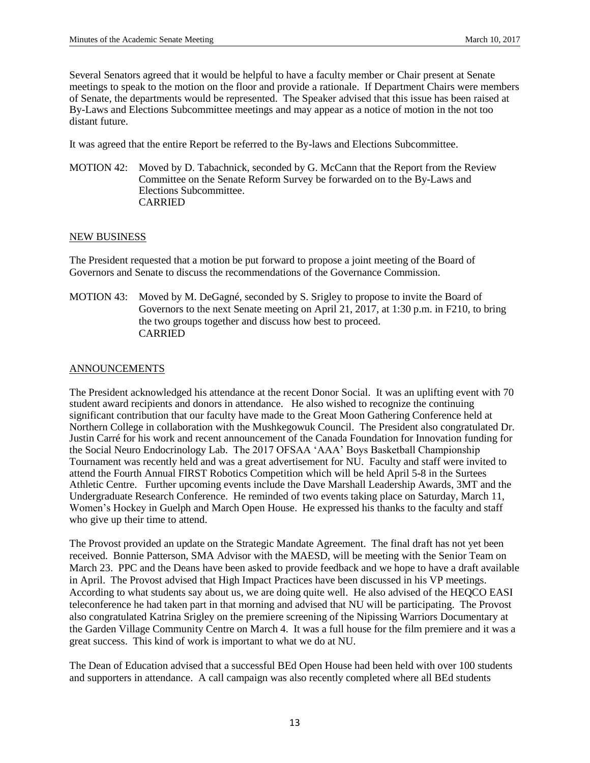Several Senators agreed that it would be helpful to have a faculty member or Chair present at Senate meetings to speak to the motion on the floor and provide a rationale. If Department Chairs were members of Senate, the departments would be represented. The Speaker advised that this issue has been raised at By-Laws and Elections Subcommittee meetings and may appear as a notice of motion in the not too distant future.

It was agreed that the entire Report be referred to the By-laws and Elections Subcommittee.

MOTION 42: Moved by D. Tabachnick, seconded by G. McCann that the Report from the Review Committee on the Senate Reform Survey be forwarded on to the By-Laws and Elections Subcommittee. CARRIED

## NEW BUSINESS

The President requested that a motion be put forward to propose a joint meeting of the Board of Governors and Senate to discuss the recommendations of the Governance Commission.

MOTION 43: Moved by M. DeGagné, seconded by S. Srigley to propose to invite the Board of Governors to the next Senate meeting on April 21, 2017, at 1:30 p.m. in F210, to bring the two groups together and discuss how best to proceed. CARRIED

## ANNOUNCEMENTS

The President acknowledged his attendance at the recent Donor Social. It was an uplifting event with 70 student award recipients and donors in attendance. He also wished to recognize the continuing significant contribution that our faculty have made to the Great Moon Gathering Conference held at Northern College in collaboration with the Mushkegowuk Council. The President also congratulated Dr. Justin Carré for his work and recent announcement of the Canada Foundation for Innovation funding for the Social Neuro Endocrinology Lab. The 2017 OFSAA 'AAA' Boys Basketball Championship Tournament was recently held and was a great advertisement for NU. Faculty and staff were invited to attend the Fourth Annual FIRST Robotics Competition which will be held April 5-8 in the Surtees Athletic Centre. Further upcoming events include the Dave Marshall Leadership Awards, 3MT and the Undergraduate Research Conference. He reminded of two events taking place on Saturday, March 11, Women's Hockey in Guelph and March Open House. He expressed his thanks to the faculty and staff who give up their time to attend.

The Provost provided an update on the Strategic Mandate Agreement. The final draft has not yet been received. Bonnie Patterson, SMA Advisor with the MAESD, will be meeting with the Senior Team on March 23. PPC and the Deans have been asked to provide feedback and we hope to have a draft available in April. The Provost advised that High Impact Practices have been discussed in his VP meetings. According to what students say about us, we are doing quite well. He also advised of the HEQCO EASI teleconference he had taken part in that morning and advised that NU will be participating. The Provost also congratulated Katrina Srigley on the premiere screening of the Nipissing Warriors Documentary at the Garden Village Community Centre on March 4. It was a full house for the film premiere and it was a great success. This kind of work is important to what we do at NU.

The Dean of Education advised that a successful BEd Open House had been held with over 100 students and supporters in attendance. A call campaign was also recently completed where all BEd students